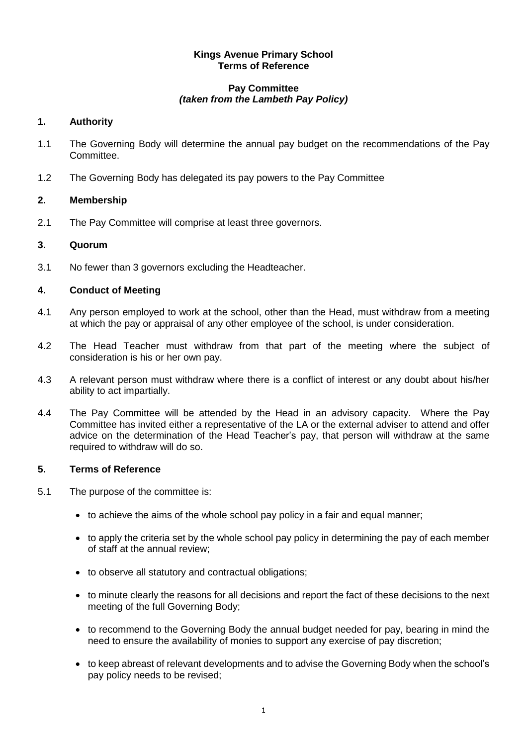#### **Kings Avenue Primary School Terms of Reference**

#### **Pay Committee** *(taken from the Lambeth Pay Policy)*

# **1. Authority**

- 1.1 The Governing Body will determine the annual pay budget on the recommendations of the Pay Committee.
- 1.2 The Governing Body has delegated its pay powers to the Pay Committee

# **2. Membership**

2.1 The Pay Committee will comprise at least three governors.

# **3. Quorum**

3.1 No fewer than 3 governors excluding the Headteacher.

# **4. Conduct of Meeting**

- 4.1 Any person employed to work at the school, other than the Head, must withdraw from a meeting at which the pay or appraisal of any other employee of the school, is under consideration.
- 4.2 The Head Teacher must withdraw from that part of the meeting where the subject of consideration is his or her own pay.
- 4.3 A relevant person must withdraw where there is a conflict of interest or any doubt about his/her ability to act impartially.
- 4.4 The Pay Committee will be attended by the Head in an advisory capacity. Where the Pay Committee has invited either a representative of the LA or the external adviser to attend and offer advice on the determination of the Head Teacher's pay, that person will withdraw at the same required to withdraw will do so.

#### **5. Terms of Reference**

- 5.1 The purpose of the committee is:
	- to achieve the aims of the whole school pay policy in a fair and equal manner;
	- to apply the criteria set by the whole school pay policy in determining the pay of each member of staff at the annual review;
	- to observe all statutory and contractual obligations;
	- to minute clearly the reasons for all decisions and report the fact of these decisions to the next meeting of the full Governing Body;
	- to recommend to the Governing Body the annual budget needed for pay, bearing in mind the need to ensure the availability of monies to support any exercise of pay discretion;
	- to keep abreast of relevant developments and to advise the Governing Body when the school's pay policy needs to be revised;